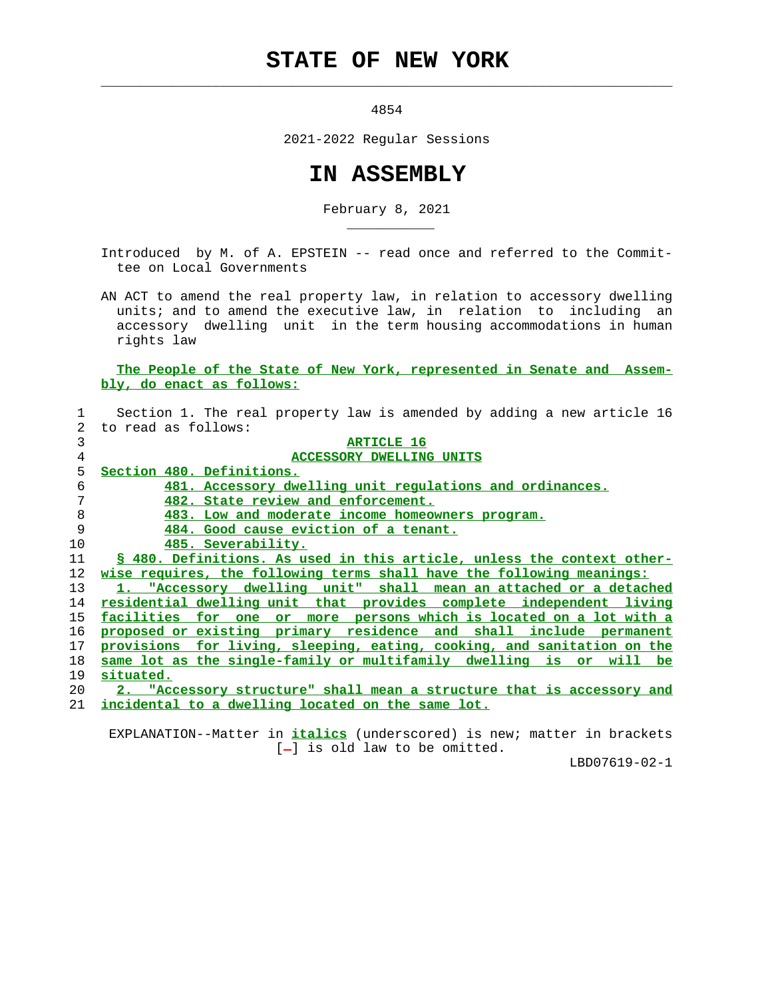## **STATE OF NEW YORK**

 $\mathcal{L}_\text{max} = \frac{1}{2} \sum_{i=1}^{n} \frac{1}{2} \sum_{i=1}^{n} \frac{1}{2} \sum_{i=1}^{n} \frac{1}{2} \sum_{i=1}^{n} \frac{1}{2} \sum_{i=1}^{n} \frac{1}{2} \sum_{i=1}^{n} \frac{1}{2} \sum_{i=1}^{n} \frac{1}{2} \sum_{i=1}^{n} \frac{1}{2} \sum_{i=1}^{n} \frac{1}{2} \sum_{i=1}^{n} \frac{1}{2} \sum_{i=1}^{n} \frac{1}{2} \sum_{i=1}^{n} \frac{1$ 

\_\_\_\_\_\_\_\_\_\_\_

4854

2021-2022 Regular Sessions

## **IN ASSEMBLY**

February 8, 2021

 Introduced by M. of A. EPSTEIN -- read once and referred to the Commit tee on Local Governments

 AN ACT to amend the real property law, in relation to accessory dwelling units; and to amend the executive law, in relation to including an accessory dwelling unit in the term housing accommodations in human rights law

## **The People of the State of New York, represented in Senate and Assem bly, do enact as follows:**

|    | Section 1. The real property law is amended by adding a new article 16  |
|----|-------------------------------------------------------------------------|
| 2. | to read as follows:                                                     |
| 3  | <b>ARTICLE 16</b>                                                       |
| 4  | <b>ACCESSORY DWELLING UNITS</b>                                         |
| 5  | Section 480. Definitions.                                               |
| 6  | 481. Accessory dwelling unit regulations and ordinances.                |
| 7  | 482. State review and enforcement.                                      |
| 8  | 483. Low and moderate income homeowners program.                        |
| 9  | 484. Good cause eviction of a tenant.                                   |
| 10 | 485. Severability.                                                      |
| 11 | § 480. Definitions. As used in this article, unless the context other-  |
| 12 | wise requires, the following terms shall have the following meanings:   |
| 13 | 1. "Accessory dwelling unit" shall mean an attached or a detached       |
| 14 | residential dwelling unit that provides complete independent living     |
| 15 | or more persons which is located on a lot with a<br>facilities for one  |
| 16 | proposed or existing primary residence and shall include permanent      |
| 17 | provisions for living, sleeping, eating, cooking, and sanitation on the |
| 18 | same lot as the single-family or multifamily dwelling is or will be     |
| 19 | situated.                                                               |
| 20 | 2. "Accessory structure" shall mean a structure that is accessory and   |
| 21 | incidental to a dwelling located on the same lot.                       |

 EXPLANATION--Matter in **italics** (underscored) is new; matter in brackets  $[-]$  is old law to be omitted.

LBD07619-02-1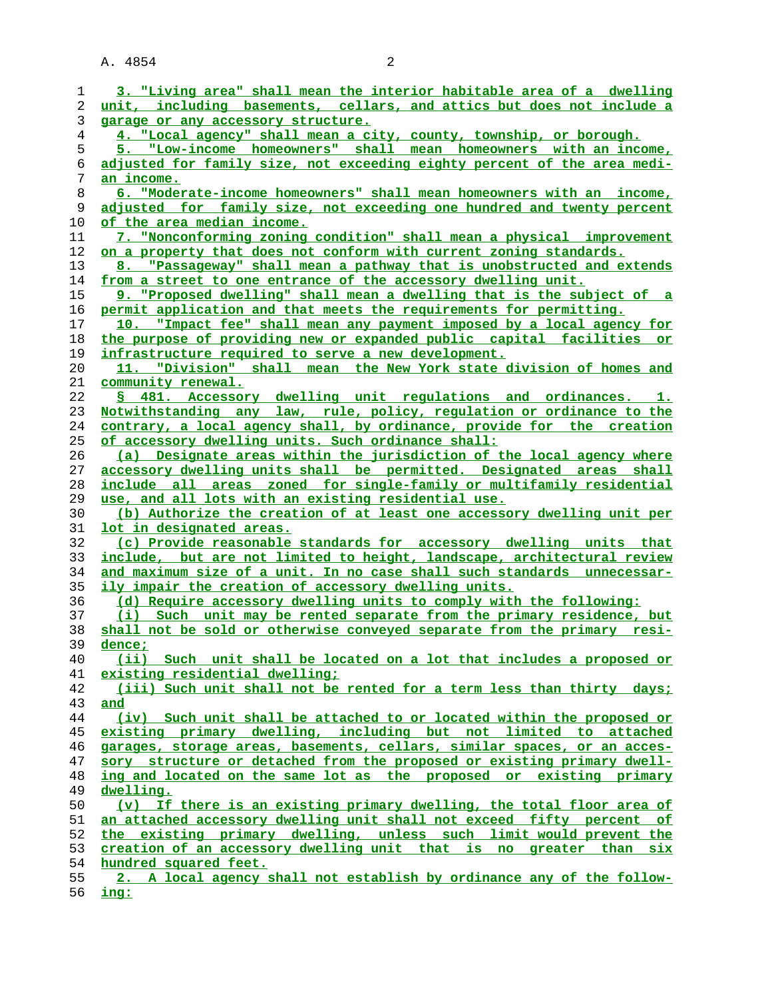| 1              | 3. "Living area" shall mean the interior habitable area of a dwelling                          |
|----------------|------------------------------------------------------------------------------------------------|
| 2              | unit, including basements, cellars, and attics but does not include a                          |
| 3              | garage or any accessory structure.                                                             |
| $\overline{4}$ | 4. "Local agency" shall mean a city, county, township, or borough.                             |
| 5              | 5. "Low-income homeowners" shall mean homeowners with an income,                               |
| 6              | adjusted for family size, not exceeding eighty percent of the area medi-                       |
| 7              | an income.                                                                                     |
| 8              | 6. "Moderate-income homeowners" shall mean homeowners with an income,                          |
| 9              | adjusted for family size, not exceeding one hundred and twenty percent                         |
| 10             | of the area median income.                                                                     |
|                |                                                                                                |
| 11             | 7. "Nonconforming zoning condition" shall mean a physical improvement                          |
| 12             | on a property that does not conform with current zoning standards.                             |
| 13             | 8. "Passageway" shall mean a pathway that is unobstructed and extends                          |
| 14             | from a street to one entrance of the accessory dwelling unit.                                  |
| 15             | 9. "Proposed dwelling" shall mean a dwelling that is the subject of a                          |
| 16             | permit application and that meets the requirements for permitting.                             |
| 17             | 10. "Impact fee" shall mean any payment imposed by a local agency for                          |
| 18             | the purpose of providing new or expanded public capital facilities or                          |
| 19             | infrastructure required to serve a new development.                                            |
| 20             | "Division" shall mean the New York state division of homes and<br>11.                          |
| 21             | <u>community renewal.</u>                                                                      |
| 22             | § 481. Accessory dwelling unit requlations and ordinances. 1.                                  |
| 23             | Notwithstanding any law, rule, policy, regulation or ordinance to the                          |
| 24             | contrary, a local agency shall, by ordinance, provide for the creation                         |
| 25             | of accessory dwelling units. Such ordinance shall:                                             |
|                | (a) Designate areas within the jurisdiction of the local agency where                          |
| 26             |                                                                                                |
| 27             | accessory dwelling units shall be permitted. Designated areas shall                            |
| 28             | include all areas zoned for single-family or multifamily residential                           |
| 29             | use, and all lots with an existing residential use.                                            |
| 30             | (b) Authorize the creation of at least one accessory dwelling unit per                         |
| 31             | <u>lot in designated areas.</u>                                                                |
| 32             | (c) Provide reasonable standards for accessory dwelling units that                             |
| 33             | include, but are not limited to height, landscape, architectural review                        |
| 34             | and maximum size of a unit. In no case shall such standards unnecessar-                        |
| 35             | ily impair the creation of accessory dwelling units.                                           |
| 36             | (d) Require accessory dwelling units to comply with the following:                             |
| 37             | (i) Such unit may be rented separate from the primary residence, but                           |
| 38             | shall not be sold or otherwise conveyed separate from the primary resi-                        |
| 39             | dence;                                                                                         |
| 40             | (ii) Such unit shall be located on a lot that includes a proposed or                           |
| 41             | existing residential dwelling;                                                                 |
| 42             | (iii) Such unit shall not be rented for a term less than thirty days;                          |
| 43             | and                                                                                            |
| 44             | (iv) Such unit shall be attached to or located within the proposed or                          |
| 45             | existing primary dwelling, including but not limited to attached                               |
| 46             | garages, storage areas, basements, cellars, similar spaces, or an acces-                       |
| 47             | sory structure or detached from the proposed or existing primary dwell-                        |
| 48             | ing and located on the same lot as the proposed or existing primary                            |
| 49             | dwelling.                                                                                      |
|                | (v) If there is an existing primary dwelling, the total floor area of                          |
| 50             |                                                                                                |
|                |                                                                                                |
| 51             | an attached accessory dwelling unit shall not exceed fifty percent of                          |
| 52             | the existing primary dwelling, unless such limit would prevent the                             |
| 53             | creation of an accessory dwelling unit that is no greater than six                             |
| 54<br>55       | hundred squared feet.<br>2. A local agency shall not establish by ordinance any of the follow- |

**ing:**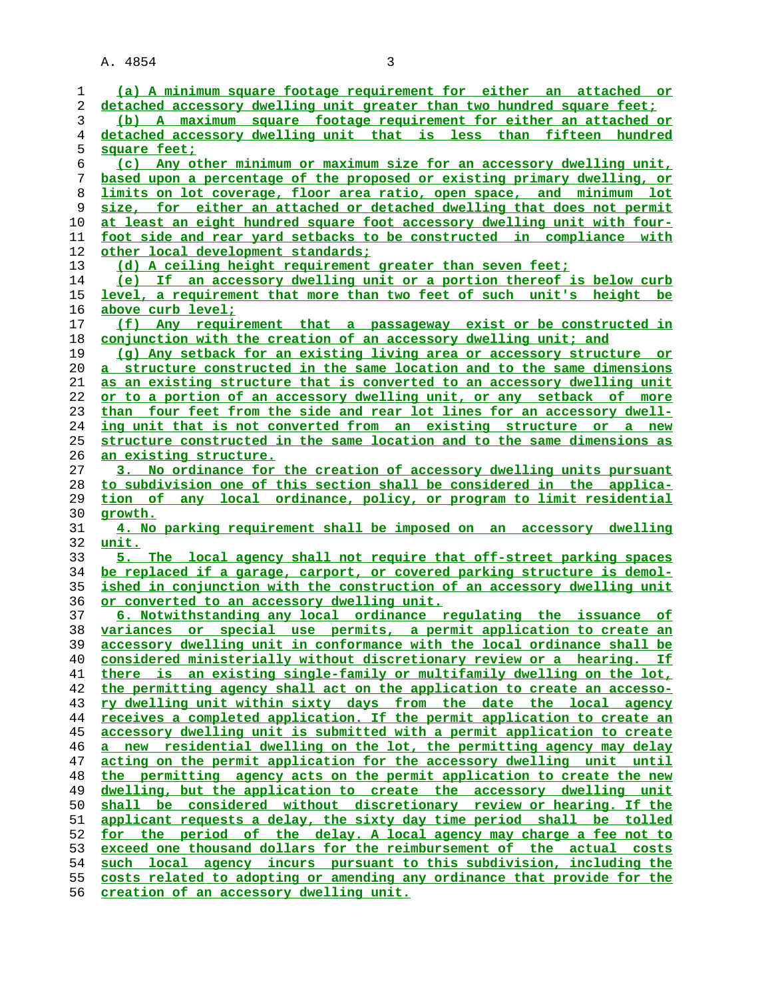**(a) A minimum square footage requirement for either an attached or detached accessory dwelling unit greater than two hundred square feet; (b) A maximum square footage requirement for either an attached or detached accessory dwelling unit that is less than fifteen hundred square feet; (c) Any other minimum or maximum size for an accessory dwelling unit, based upon a percentage of the proposed or existing primary dwelling, or limits on lot coverage, floor area ratio, open space, and minimum lot size, for either an attached or detached dwelling that does not permit at least an eight hundred square foot accessory dwelling unit with four- foot side and rear yard setbacks to be constructed in compliance with other local development standards; (d) A ceiling height requirement greater than seven feet; (e) If an accessory dwelling unit or a portion thereof is below curb level, a requirement that more than two feet of such unit's height be above curb level; (f) Any requirement that a passageway exist or be constructed in conjunction with the creation of an accessory dwelling unit; and (g) Any setback for an existing living area or accessory structure or a structure constructed in the same location and to the same dimensions as an existing structure that is converted to an accessory dwelling unit or to a portion of an accessory dwelling unit, or any setback of more than four feet from the side and rear lot lines for an accessory dwell- ing unit that is not converted from an existing structure or a new structure constructed in the same location and to the same dimensions as an existing structure. 3. No ordinance for the creation of accessory dwelling units pursuant to subdivision one of this section shall be considered in the applica- tion of any local ordinance, policy, or program to limit residential growth. 4. No parking requirement shall be imposed on an accessory dwelling unit. 5. The local agency shall not require that off-street parking spaces be replaced if a garage, carport, or covered parking structure is demol- ished in conjunction with the construction of an accessory dwelling unit or converted to an accessory dwelling unit. 6. Notwithstanding any local ordinance regulating the issuance of variances or special use permits, a permit application to create an accessory dwelling unit in conformance with the local ordinance shall be considered ministerially without discretionary review or a hearing. If there is an existing single-family or multifamily dwelling on the lot, the permitting agency shall act on the application to create an accesso- ry dwelling unit within sixty days from the date the local agency receives a completed application. If the permit application to create an accessory dwelling unit is submitted with a permit application to create a new residential dwelling on the lot, the permitting agency may delay acting on the permit application for the accessory dwelling unit until the permitting agency acts on the permit application to create the new dwelling, but the application to create the accessory dwelling unit shall be considered without discretionary review or hearing. If the applicant requests a delay, the sixty day time period shall be tolled for the period of the delay. A local agency may charge a fee not to exceed one thousand dollars for the reimbursement of the actual costs such local agency incurs pursuant to this subdivision, including the costs related to adopting or amending any ordinance that provide for the creation of an accessory dwelling unit.**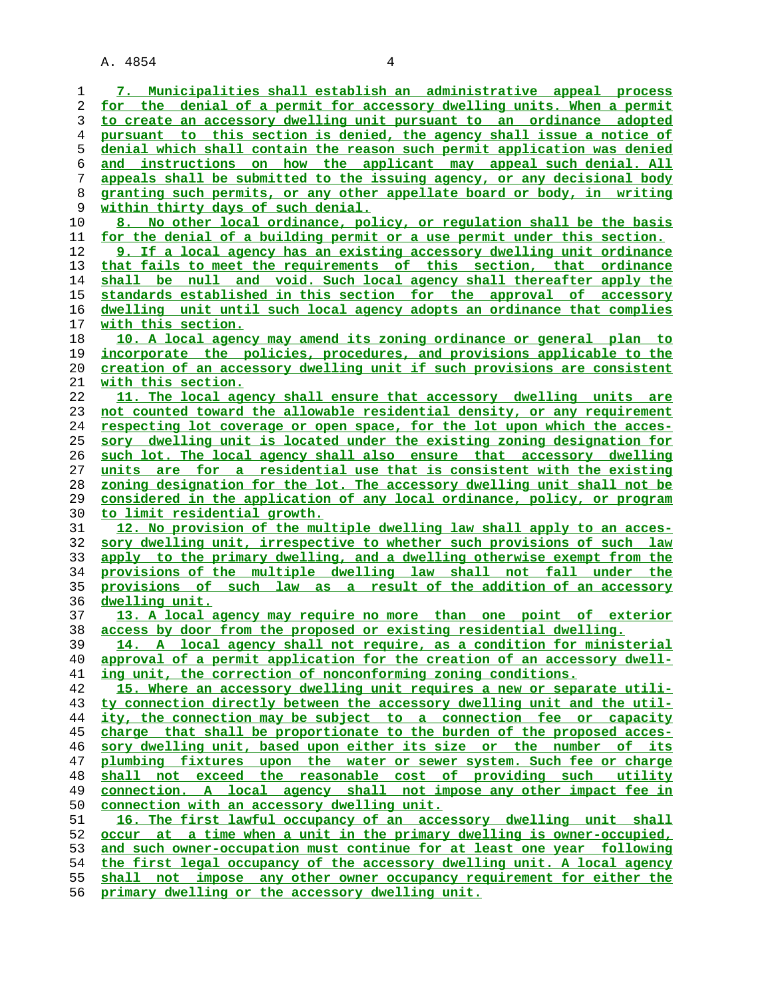| 1  | 7. Municipalities shall establish an administrative appeal process       |
|----|--------------------------------------------------------------------------|
| 2  | for the denial of a permit for accessory dwelling units. When a permit   |
| 3  | to create an accessory dwelling unit pursuant to an ordinance adopted    |
| 4  | pursuant to this section is denied, the agency shall issue a notice of   |
| 5  | denial which shall contain the reason such permit application was denied |
| 6  | and instructions on how the applicant may appeal such denial. All        |
|    |                                                                          |
| 7  | appeals shall be submitted to the issuing agency, or any decisional body |
| 8  | granting such permits, or any other appellate board or body, in writing  |
| 9  | within thirty days of such denial.                                       |
| 10 | 8. No other local ordinance, policy, or regulation shall be the basis    |
| 11 | for the denial of a building permit or a use permit under this section.  |
| 12 | 9. If a local agency has an existing accessory dwelling unit ordinance   |
| 13 | that fails to meet the requirements of this section, that ordinance      |
| 14 | shall be null and void. Such local agency shall thereafter apply the     |
| 15 | standards established in this section for the approval of accessory      |
| 16 | dwelling unit until such local agency adopts an ordinance that complies  |
| 17 | with this section.                                                       |
|    |                                                                          |
| 18 | 10. A local agency may amend its zoning ordinance or general plan to     |
| 19 | incorporate the policies, procedures, and provisions applicable to the   |
| 20 | creation of an accessory dwelling unit if such provisions are consistent |
| 21 | with this section.                                                       |
| 22 | 11. The local agency shall ensure that accessory dwelling units are      |
| 23 | not counted toward the allowable residential density, or any requirement |
| 24 | respecting lot coverage or open space, for the lot upon which the acces- |
| 25 | sory dwelling unit is located under the existing zoning designation for  |
| 26 | such lot. The local agency shall also ensure that accessory dwelling     |
| 27 | units are for a residential use that is consistent with the existing     |
| 28 | zoning designation for the lot. The accessory dwelling unit shall not be |
| 29 | considered in the application of any local ordinance, policy, or program |
| 30 | <u>to limit residential growth.</u>                                      |
| 31 | 12. No provision of the multiple dwelling law shall apply to an acces-   |
| 32 | sory dwelling unit, irrespective to whether such provisions of such law  |
| 33 | apply to the primary dwelling, and a dwelling otherwise exempt from the  |
| 34 | provisions of the multiple dwelling law shall not fall under the         |
| 35 | provisions of such law as a result of the addition of an accessory       |
|    | dwelling unit.                                                           |
| 36 |                                                                          |
| 37 | 13. A local agency may require no more than one point of exterior        |
| 38 | access by door from the proposed or existing residential dwelling.       |
| 39 | 14. A local agency shall not require, as a condition for ministerial     |
| 40 | approval of a permit application for the creation of an accessory dwell- |
| 41 | ing unit, the correction of nonconforming zoning conditions.             |
| 42 | 15. Where an accessory dwelling unit requires a new or separate utili-   |
| 43 | ty connection directly between the accessory dwelling unit and the util- |
| 44 | ity, the connection may be subject to a connection fee or capacity       |
| 45 | charge that shall be proportionate to the burden of the proposed acces-  |
| 46 | sory dwelling unit, based upon either its size or the number of its      |
| 47 | plumbing fixtures upon the water or sewer system. Such fee or charge     |
| 48 | shall not exceed the reasonable cost of providing such utility           |
| 49 | connection. A local agency shall not impose any other impact fee in      |
| 50 | connection with an accessory dwelling unit.                              |
| 51 | 16. The first lawful occupancy of an accessory dwelling unit shall       |
| 52 | occur at a time when a unit in the primary dwelling is owner-occupied,   |
| 53 | and such owner-occupation must continue for at least one year following  |
| 54 | the first legal occupancy of the accessory dwelling unit. A local agency |
| 55 | shall not impose any other owner occupancy requirement for either the    |
| 56 | primary dwelling or the accessory dwelling unit.                         |
|    |                                                                          |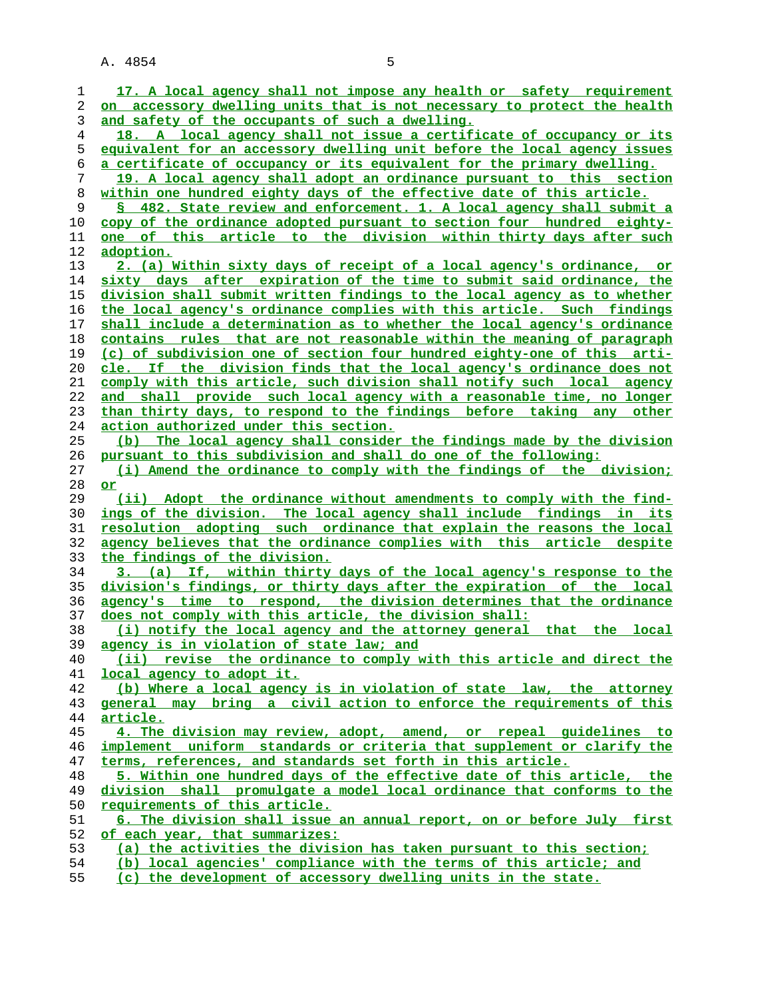| 1        | 17. A local agency shall not impose any health or safety requirement                                                                        |
|----------|---------------------------------------------------------------------------------------------------------------------------------------------|
| 2        | on accessory dwelling units that is not necessary to protect the health                                                                     |
| 3        | and safety of the occupants of such a dwelling.                                                                                             |
| 4        | 18. A local agency shall not issue a certificate of occupancy or its                                                                        |
| 5        | equivalent for an accessory dwelling unit before the local agency issues                                                                    |
| 6        | <u>a certificate of occupancy or its equivalent for the primary dwelling.</u>                                                               |
| 7        | 19. A local agency shall adopt an ordinance pursuant to this section                                                                        |
| 8        | within one hundred eighty days of the effective date of this article.                                                                       |
| 9        | § 482. State review and enforcement. 1. A local agency shall submit a                                                                       |
| 10       | copy of the ordinance adopted pursuant to section four hundred eighty-                                                                      |
| 11       | one of this article to the division within thirty days after such                                                                           |
| 12       | <u>adoption.</u>                                                                                                                            |
| 13       | 2. (a) Within sixty days of receipt of a local agency's ordinance, or                                                                       |
| 14       | sixty days after expiration of the time to submit said ordinance, the                                                                       |
| 15       | division shall submit written findings to the local agency as to whether                                                                    |
| 16       | the local agency's ordinance complies with this article. Such findings                                                                      |
| 17       | shall include a determination as to whether the local agency's ordinance                                                                    |
| 18       | contains rules that are not reasonable within the meaning of paragraph                                                                      |
| 19       | (c) of subdivision one of section four hundred eighty-one of this arti-                                                                     |
| 20       | <u>cle. If the division finds that the local agency's ordinance does not</u>                                                                |
| 21       | comply with this article, such division shall notify such local agency                                                                      |
| 22       | and shall provide such local agency with a reasonable time, no longer                                                                       |
| 23       | than thirty days, to respond to the findings before taking any other                                                                        |
| 24       | <u>action authorized under this section.</u>                                                                                                |
| 25       | (b) The local agency shall consider the findings made by the division                                                                       |
| 26       | pursuant to this subdivision and shall do one of the following:                                                                             |
| 27       | (i) Amend the ordinance to comply with the findings of the division;                                                                        |
| 28       | or                                                                                                                                          |
| 29       | (ii) Adopt the ordinance without amendments to comply with the find-                                                                        |
| 30       | ings of the division. The local agency shall include findings in its                                                                        |
| 31       | resolution adopting such ordinance that explain the reasons the local                                                                       |
| 32       | agency believes that the ordinance complies with this article despite                                                                       |
| 33       | the findings of the division.                                                                                                               |
| 34       | 3. (a) If, within thirty days of the local agency's response to the                                                                         |
| 35       | division's findings, or thirty days after the expiration of the local                                                                       |
| 36       | agency's time to respond, the division determines that the ordinance                                                                        |
| 37       | does not comply with this article, the division shall:                                                                                      |
| 38       | (i) notify the local agency and the attorney general that the local                                                                         |
| 39       | agency is in violation of state law; and                                                                                                    |
| 40       | (ii) revise the ordinance to comply with this article and direct the                                                                        |
| 41       | local agency to adopt it.                                                                                                                   |
| 42<br>43 | (b) Where a local agency is in violation of state law, the attorney<br>general may bring a civil action to enforce the requirements of this |
| 44       |                                                                                                                                             |
| 45       | <u>article.</u><br>4. The division may review, adopt, amend, or repeal guidelines to                                                        |
| 46       | implement uniform standards or criteria that supplement or clarify the                                                                      |
| 47       | terms, references, and standards set forth in this article.                                                                                 |
| 48       | 5. Within one hundred days of the effective date of this article, the                                                                       |
| 49       | division shall promulgate a model local ordinance that conforms to the                                                                      |
| 50       | requirements of this article.                                                                                                               |
| 51       | 6. The division shall issue an annual report, on or before July first                                                                       |
| 52       | of each year, that summarizes:                                                                                                              |
| 53       | (a) the activities the division has taken pursuant to this section;                                                                         |
| 54       | (b) local agencies' compliance with the terms of this article; and                                                                          |
|          |                                                                                                                                             |
| 55       | (c) the development of accessory dwelling units in the state.                                                                               |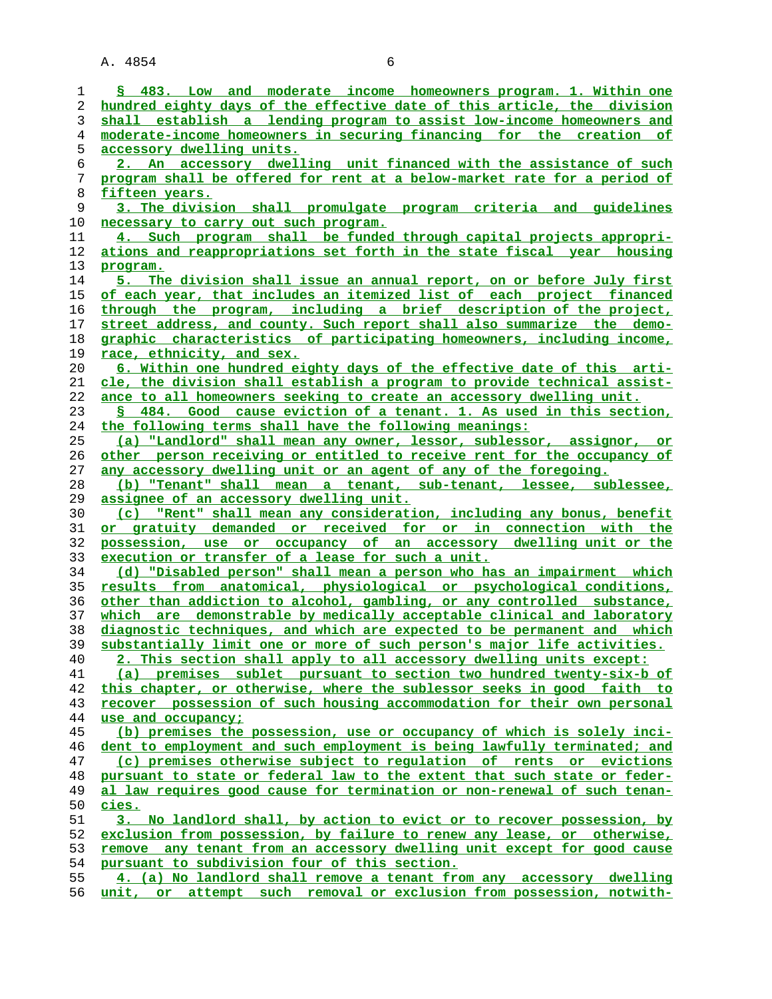| 1        | § 483. Low and moderate income homeowners program. 1. Within one                                                                             |
|----------|----------------------------------------------------------------------------------------------------------------------------------------------|
| 2        | hundred eighty days of the effective date of this article, the division                                                                      |
| 3        | shall establish a lending program to assist low-income homeowners and                                                                        |
| 4        | moderate-income homeowners in securing financing for the creation of                                                                         |
|          |                                                                                                                                              |
| 5        | accessory dwelling units.                                                                                                                    |
| 6        | 2. An accessory dwelling unit financed with the assistance of such                                                                           |
| 7        | program shall be offered for rent at a below-market rate for a period of                                                                     |
| 8        | fifteen years.                                                                                                                               |
| 9        | 3. The division shall promulgate program criteria and quidelines                                                                             |
|          |                                                                                                                                              |
| 10       | necessary to carry out such program.                                                                                                         |
| 11       | 4. Such program shall be funded through capital projects appropri-                                                                           |
| 12       | ations and reappropriations set forth in the state fiscal year housing                                                                       |
| 13       | program.                                                                                                                                     |
| 14       | 5. The division shall issue an annual report, on or before July first                                                                        |
| 15       | of each year, that includes an itemized list of each project financed                                                                        |
|          |                                                                                                                                              |
| 16       | through the program, including a brief description of the project,                                                                           |
| 17       | street address, and county. Such report shall also summarize the demo-                                                                       |
| 18       | graphic characteristics of participating homeowners, including income,                                                                       |
| 19       | <u>race, ethnicity, and sex.</u>                                                                                                             |
| 20       | 6. Within one hundred eighty days of the effective date of this arti-                                                                        |
|          | cle, the division shall establish a program to provide technical assist-                                                                     |
| 21       |                                                                                                                                              |
| 22       | ance to all homeowners seeking to create an accessory dwelling unit.                                                                         |
| 23       | § 484. Good cause eviction of a tenant. 1. As used in this section,                                                                          |
| 24       | the following terms shall have the following meanings:                                                                                       |
| 25       | (a) "Landlord" shall mean any owner, lessor, sublessor, assignor, or                                                                         |
| 26       | other person receiving or entitled to receive rent for the occupancy of                                                                      |
| 27       | any accessory dwelling unit or an agent of any of the foregoing.                                                                             |
|          |                                                                                                                                              |
| 28       | (b) "Tenant" shall mean a tenant, sub-tenant, lessee, sublessee,                                                                             |
|          |                                                                                                                                              |
| 29       | assignee of an accessory dwelling unit.                                                                                                      |
| 30       | (c) "Rent" shall mean any consideration, including any bonus, benefit                                                                        |
| 31       | or gratuity demanded or received for or in connection with the                                                                               |
|          |                                                                                                                                              |
| 32       | possession, use or occupancy of an accessory dwelling unit or the                                                                            |
| 33       | execution or transfer of a lease for such a unit.                                                                                            |
| 34       | (d) "Disabled person" shall mean a person who has an impairment which                                                                        |
| 35       | results from anatomical, physiological or psychological conditions,                                                                          |
| 36       | other than addiction to alcohol, gambling, or any controlled substance,                                                                      |
| 37       | which are demonstrable by medically acceptable clinical and laboratory                                                                       |
| 38       |                                                                                                                                              |
| 39       | diagnostic techniques, and which are expected to be permanent and which                                                                      |
|          | substantially limit one or more of such person's major life activities.                                                                      |
| 40       | 2. This section shall apply to all accessory dwelling units except:                                                                          |
| 41       | (a) premises sublet pursuant to section two hundred twenty-six-b of                                                                          |
| 42       | this chapter, or otherwise, where the sublessor seeks in good faith to                                                                       |
| 43       | recover possession of such housing accommodation for their own personal                                                                      |
| 44       | use and occupancy;                                                                                                                           |
| 45       |                                                                                                                                              |
|          | (b) premises the possession, use or occupancy of which is solely inci-                                                                       |
| 46       | dent to employment and such employment is being lawfully terminated; and                                                                     |
| 47       | (c) premises otherwise subject to requlation of rents or evictions                                                                           |
| 48       | pursuant to state or federal law to the extent that such state or feder-                                                                     |
| 49       | al law requires good cause for termination or non-renewal of such tenan-                                                                     |
| 50       | <u>cies.</u>                                                                                                                                 |
| 51       | 3. No landlord shall, by action to evict or to recover possession, by                                                                        |
|          |                                                                                                                                              |
| 52       | exclusion from possession, by failure to renew any lease, or otherwise,                                                                      |
| 53       | remove any tenant from an accessory dwelling unit except for good cause                                                                      |
| 54       | pursuant to subdivision four of this section.                                                                                                |
| 55<br>56 | 4. (a) No landlord shall remove a tenant from any accessory dwelling<br>unit, or attempt such removal or exclusion from possession, notwith- |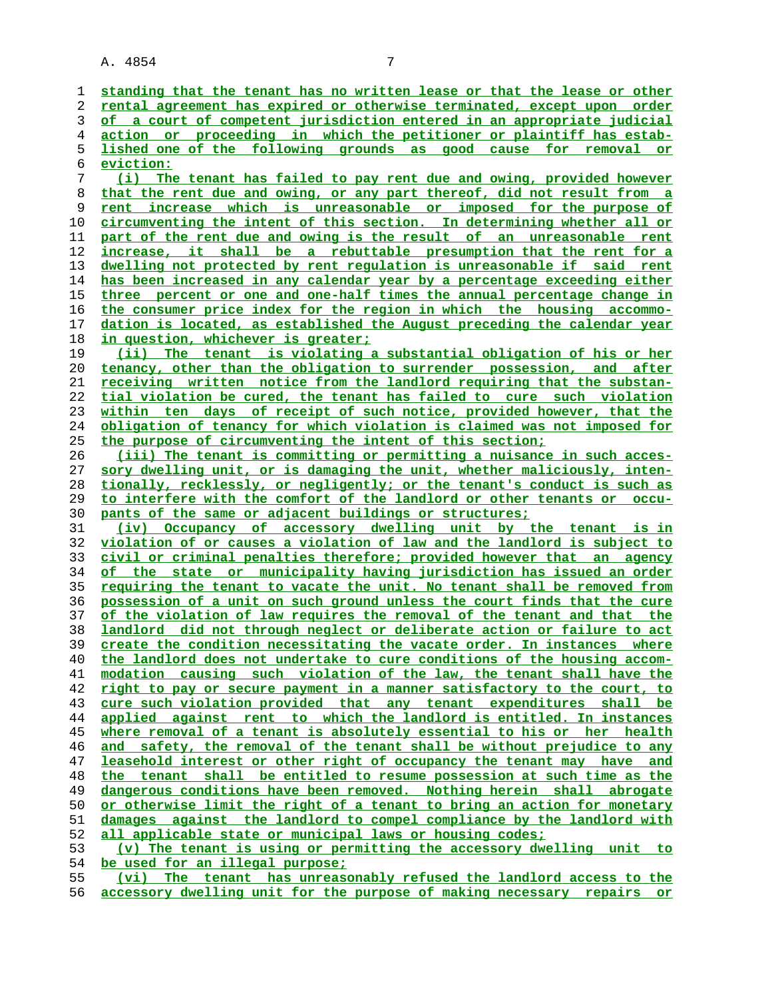**standing that the tenant has no written lease or that the lease or other rental agreement has expired or otherwise terminated, except upon order of a court of competent jurisdiction entered in an appropriate judicial action or proceeding in which the petitioner or plaintiff has estab- lished one of the following grounds as good cause for removal or eviction: (i) The tenant has failed to pay rent due and owing, provided however that the rent due and owing, or any part thereof, did not result from a rent increase which is unreasonable or imposed for the purpose of circumventing the intent of this section. In determining whether all or part of the rent due and owing is the result of an unreasonable rent increase, it shall be a rebuttable presumption that the rent for a dwelling not protected by rent regulation is unreasonable if said rent has been increased in any calendar year by a percentage exceeding either three percent or one and one-half times the annual percentage change in the consumer price index for the region in which the housing accommo- dation is located, as established the August preceding the calendar year in question, whichever is greater; (ii) The tenant is violating a substantial obligation of his or her tenancy, other than the obligation to surrender possession, and after receiving written notice from the landlord requiring that the substan- tial violation be cured, the tenant has failed to cure such violation within ten days of receipt of such notice, provided however, that the obligation of tenancy for which violation is claimed was not imposed for the purpose of circumventing the intent of this section; (iii) The tenant is committing or permitting a nuisance in such acces- sory dwelling unit, or is damaging the unit, whether maliciously, inten- tionally, recklessly, or negligently; or the tenant's conduct is such as to interfere with the comfort of the landlord or other tenants or occu- pants of the same or adjacent buildings or structures; (iv) Occupancy of accessory dwelling unit by the tenant is in violation of or causes a violation of law and the landlord is subject to**

**civil or criminal penalties therefore; provided however that an agency of the state or municipality having jurisdiction has issued an order requiring the tenant to vacate the unit. No tenant shall be removed from possession of a unit on such ground unless the court finds that the cure of the violation of law requires the removal of the tenant and that the landlord did not through neglect or deliberate action or failure to act create the condition necessitating the vacate order. In instances where the landlord does not undertake to cure conditions of the housing accom- modation causing such violation of the law, the tenant shall have the right to pay or secure payment in a manner satisfactory to the court, to cure such violation provided that any tenant expenditures shall be applied against rent to which the landlord is entitled. In instances where removal of a tenant is absolutely essential to his or her health and safety, the removal of the tenant shall be without prejudice to any leasehold interest or other right of occupancy the tenant may have and the tenant shall be entitled to resume possession at such time as the dangerous conditions have been removed. Nothing herein shall abrogate or otherwise limit the right of a tenant to bring an action for monetary damages against the landlord to compel compliance by the landlord with all applicable state or municipal laws or housing codes; (v) The tenant is using or permitting the accessory dwelling unit to**

**be used for an illegal purpose;**

**(vi) The tenant has unreasonably refused the landlord access to the accessory dwelling unit for the purpose of making necessary repairs or**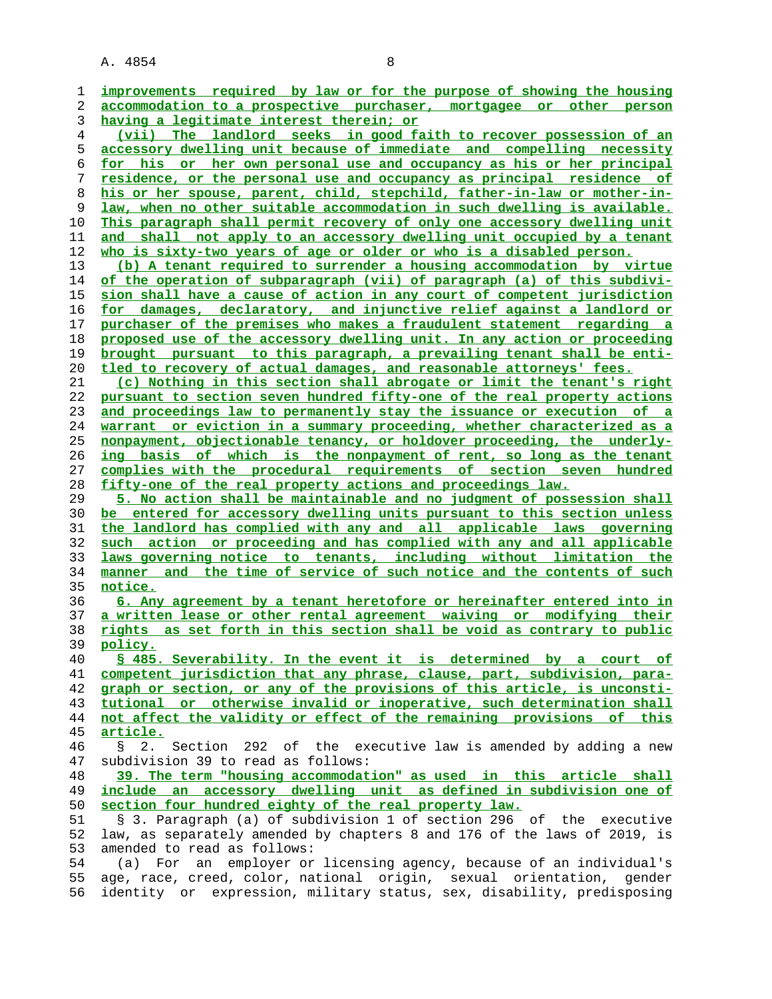| 1  | improvements required by law or for the purpose of showing the housing             |
|----|------------------------------------------------------------------------------------|
| 2  | accommodation to a prospective purchaser, mortgagee or other person                |
| 3  | having a legitimate interest therein; or                                           |
| 4  | (vii) The landlord seeks in good faith to recover possession of an                 |
| 5  | accessory dwelling unit because of immediate and compelling necessity              |
|    |                                                                                    |
| 6  | for his or her own personal use and occupancy as his or her principal              |
| 7  | residence, or the personal use and occupancy as principal residence of             |
| 8  | his or her spouse, parent, child, stepchild, father-in-law or mother-in-           |
| 9  | law, when no other suitable accommodation in such dwelling is available.           |
| 10 | This paragraph shall permit recovery of only one accessory dwelling unit           |
| 11 | and shall not apply to an accessory dwelling unit occupied by a tenant             |
| 12 | who is sixty-two years of age or older or who is a disabled person.                |
| 13 | (b) A tenant required to surrender a housing accommodation by virtue               |
| 14 | of the operation of subparagraph (vii) of paragraph (a) of this subdivi-           |
|    |                                                                                    |
| 15 | sion shall have a cause of action in any court of competent jurisdiction           |
| 16 | for damages, declaratory, and injunctive relief against a landlord or              |
| 17 | purchaser of the premises who makes a fraudulent statement regarding a             |
| 18 | proposed use of the accessory dwelling unit. In any action or proceeding           |
| 19 | brought pursuant to this paragraph, a prevailing tenant shall be enti-             |
| 20 | tled to recovery of actual damages, and reasonable attorneys' fees.                |
| 21 | (c) Nothing in this section shall abrogate or limit the tenant's right             |
| 22 | pursuant to section seven hundred fifty-one of the real property actions           |
| 23 | and proceedings law to permanently stay the issuance or execution of a             |
| 24 | warrant or eviction in a summary proceeding, whether characterized as a            |
|    |                                                                                    |
| 25 | nonpayment, objectionable tenancy, or holdover proceeding, the underly-            |
| 26 | ing basis of which is the nonpayment of rent, so long as the tenant                |
| 27 | complies with the procedural requirements of section seven hundred                 |
| 28 | fifty-one of the real property actions and proceedings law.                        |
| 29 | 5. No action shall be maintainable and no judgment of possession shall             |
| 30 | be entered for accessory dwelling units pursuant to this section unless            |
| 31 | the landlord has complied with any and all applicable laws governing               |
| 32 | such action or proceeding and has complied with any and all applicable             |
| 33 | laws governing notice to tenants, including without limitation the                 |
| 34 | manner and the time of service of such notice and the contents of such             |
|    | notice.                                                                            |
| 35 |                                                                                    |
| 36 | 6. Any agreement by a tenant heretofore or hereinafter entered into in             |
| 37 | a written lease or other rental agreement waiving or modifying their               |
| 38 | rights as set forth in this section shall be void as contrary to public            |
| 39 | policy.                                                                            |
| 40 | \$ 485. Severability. In the event it is determined by a court of                  |
| 41 | competent jurisdiction that any phrase, clause, part, subdivision, para-           |
| 42 | graph or section, or any of the provisions of this article, is unconsti-           |
| 43 | tutional or otherwise invalid or inoperative, such determination shall             |
| 44 | not affect the validity or effect of the remaining provisions of this              |
| 45 | article.                                                                           |
| 46 | Section 292 of the executive law is amended by adding a new<br>2.<br>$\mathcal{S}$ |
|    | subdivision 39 to read as follows:                                                 |
| 47 |                                                                                    |
| 48 | 39. The term "housing accommodation" as used in this article shall                 |
| 49 | include an accessory dwelling unit as defined in subdivision one of                |
| 50 | section four hundred eighty of the real property law.                              |
| 51 | § 3. Paragraph (a) of subdivision 1 of section 296 of the executive                |
| 52 | law, as separately amended by chapters 8 and 176 of the laws of 2019, is           |
| 53 | amended to read as follows:                                                        |
| 54 | an employer or licensing agency, because of an individual's<br>(a)<br>For          |
| 55 | age, race, creed, color, national origin, sexual orientation, gender               |
| 56 | identity or expression, military status, sex, disability, predisposing             |
|    |                                                                                    |